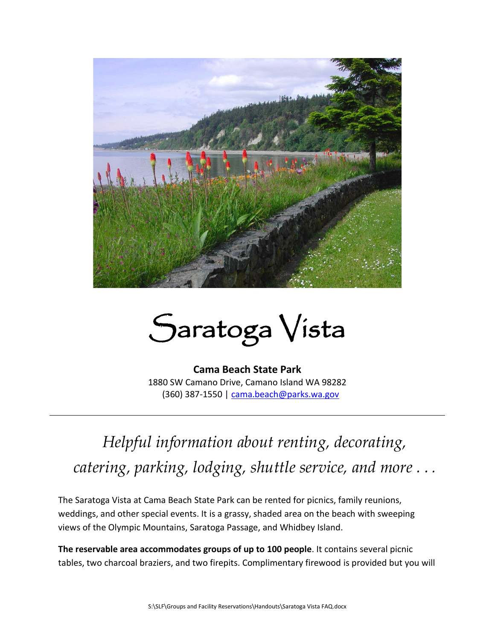

## Saratoga Vista

**Cama Beach State Park** 1880 SW Camano Drive, Camano Island WA 98282 (360) 387-1550 | [cama.beach@parks.wa.gov](mailto:cama.beach@parks.wa.gov) 

## *Helpful information about renting, decorating, catering, parking, lodging, shuttle service, and more . . .*

The Saratoga Vista at Cama Beach State Park can be rented for picnics, family reunions, weddings, and other special events. It is a grassy, shaded area on the beach with sweeping views of the Olympic Mountains, Saratoga Passage, and Whidbey Island.

**The reservable area accommodates groups of up to 100 people**. It contains several picnic tables, two charcoal braziers, and two firepits. Complimentary firewood is provided but you will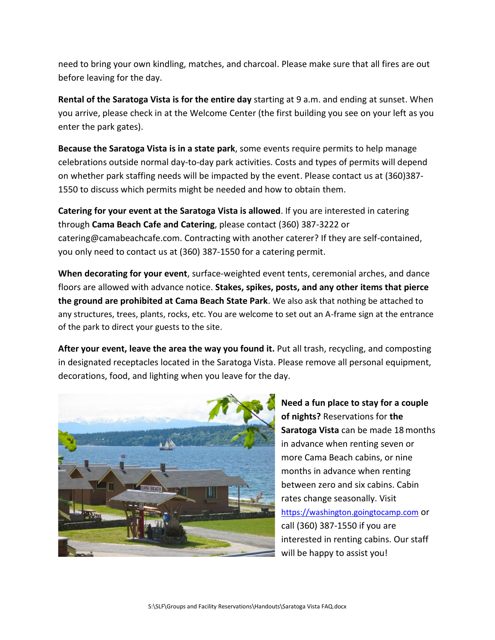need to bring your own kindling, matches, and charcoal. Please make sure that all fires are out before leaving for the day.

**Rental of the Saratoga Vista is for the entire day** starting at 9 a.m. and ending at sunset. When you arrive, please check in at the Welcome Center (the first building you see on your left as you enter the park gates).

**Because the Saratoga Vista is in a state park**, some events require permits to help manage celebrations outside normal day-to-day park activities. Costs and types of permits will depend on whether park staffing needs will be impacted by the event. Please contact us at (360)387- 1550 to discuss which permits might be needed and how to obtain them.

**Catering for your event at the Saratoga Vista is allowed**. If you are interested in catering through **Cama Beach Cafe and Catering**, please contact (360) 387-3222 or catering@camabeachcafe.com. Contracting with another caterer? If they are self-contained, you only need to contact us at (360) 387-1550 for a catering permit.

**When decorating for your event**, surface-weighted event tents, ceremonial arches, and dance floors are allowed with advance notice. **Stakes, spikes, posts, and any other items that pierce the ground are prohibited at Cama Beach State Park**. We also ask that nothing be attached to any structures, trees, plants, rocks, etc. You are welcome to set out an A-frame sign at the entrance of the park to direct your guests to the site.

**After your event, leave the area the way you found it.** Put all trash, recycling, and composting in designated receptacles located in the Saratoga Vista. Please remove all personal equipment, decorations, food, and lighting when you leave for the day.



**Need a fun place to stay for a couple of nights?** Reservations for **the Saratoga Vista** can be made 18 months in advance when renting seven or more Cama Beach cabins, or nine months in advance when renting between zero and six cabins. Cabin rates change seasonally. Visit [https://washington.goingtocamp.com](https://washington.goingtocamp.com/) or call (360) 387-1550 if you are interested in renting cabins. Our staff will be happy to assist you!